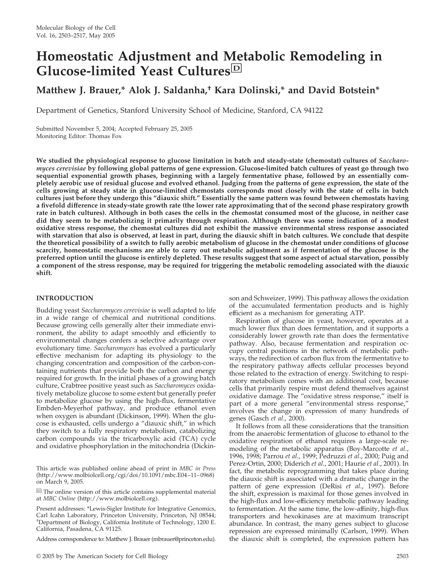# **Homeostatic Adjustment and Metabolic Remodeling in Glucose-limited Yeast Cultures**□**<sup>D</sup>**

# **Matthew J. Brauer,\* Alok J. Saldanha,† Kara Dolinski,\* and David Botstein\***

Department of Genetics, Stanford University School of Medicine, Stanford, CA 94122

Submitted November 5, 2004; Accepted February 25, 2005 Monitoring Editor: Thomas Fox

**We studied the physiological response to glucose limitation in batch and steady-state (chemostat) cultures of** *Saccharomyces cerevisiae* **by following global patterns of gene expression. Glucose-limited batch cultures of yeast go through two sequential exponential growth phases, beginning with a largely fermentative phase, followed by an essentially completely aerobic use of residual glucose and evolved ethanol. Judging from the patterns of gene expression, the state of the cells growing at steady state in glucose-limited chemostats corresponds most closely with the state of cells in batch cultures just before they undergo this "diauxic shift." Essentially the same pattern was found between chemostats having a fivefold difference in steady-state growth rate (the lower rate approximating that of the second phase respiratory growth rate in batch cultures). Although in both cases the cells in the chemostat consumed most of the glucose, in neither case did they seem to be metabolizing it primarily through respiration. Although there was some indication of a modest oxidative stress response, the chemostat cultures did not exhibit the massive environmental stress response associated with starvation that also is observed, at least in part, during the diauxic shift in batch cultures. We conclude that despite the theoretical possibility of a switch to fully aerobic metabolism of glucose in the chemostat under conditions of glucose scarcity, homeostatic mechanisms are able to carry out metabolic adjustment as if fermentation of the glucose is the preferred option until the glucose is entirely depleted. These results suggest that some aspect of actual starvation, possibly a component of the stress response, may be required for triggering the metabolic remodeling associated with the diauxic shift.**

# **INTRODUCTION**

Budding yeast *Saccharomyces cerevisiae* is well adapted to life in a wide range of chemical and nutritional conditions. Because growing cells generally alter their immediate environment, the ability to adapt smoothly and efficiently to environmental changes confers a selective advantage over evolutionary time. *Saccharomyces* has evolved a particularly effective mechanism for adapting its physiology to the changing concentration and composition of the carbon-containing nutrients that provide both the carbon and energy required for growth. In the initial phases of a growing batch culture, Crabtree positive yeast such as *Saccharomyces* oxidatively metabolize glucose to some extent but generally prefer to metabolize glucose by using the high-flux, fermentative Embden-Meyerhof pathway, and produce ethanol even when oxygen is abundant (Dickinson, 1999). When the glucose is exhausted, cells undergo a "diauxic shift," in which they switch to a fully respiratory metabolism, catabolizing carbon compounds via the tricarboxylic acid (TCA) cycle and oxidative phosphorylation in the mitochondria (Dickin-

This article was published online ahead of print in *MBC in Press* (http://www.molbiolcell.org/cgi/doi/10.1091/mbc.E04–11–0968) on March 9, 2005.

 $\overline{D}$  The online version of this article contains supplemental material at *MBC Online* (http://www.molbiolcell.org).

Present addresses: \*Lewis-Sigler Institute for Integrative Genomics, Carl Icahn Laboratory, Princeton University, Princeton, NJ 08544; † Department of Biology, California Institute of Technology, 1200 E. California, Pasadena, CA 91125.

Address correspondence to: Matthew J. Brauer (mbrauer@princeton.edu).

son and Schweizer, 1999). This pathway allows the oxidation of the accumulated fermentation products and is highly efficient as a mechanism for generating ATP.

Respiration of glucose in yeast, however, operates at a much lower flux than does fermentation, and it supports a considerably lower growth rate than does the fermentative pathway. Also, because fermentation and respiration occupy central positions in the network of metabolic pathways, the redirection of carbon flux from the fermentative to the respiratory pathway affects cellular processes beyond those related to the extraction of energy. Switching to respiratory metabolism comes with an additional cost, because cells that primarily respire must defend themselves against oxidative damage. The "oxidative stress response," itself is part of a more general "environmental stress response," involves the change in expression of many hundreds of genes (Gasch *et al*., 2000).

It follows from all these considerations that the transition from the anaerobic fermentation of glucose to ethanol to the oxidative respiration of ethanol requires a large-scale remodeling of the metabolic apparatus (Boy-Marcotte *et al*., 1996, 1998; Parrou *et al*., 1999; Pedruzzi *et al*., 2000; Puig and Perez-Ortin, 2000; Diderich *et al*., 2001; Haurie *et al*., 2001). In fact, the metabolic reprogramming that takes place during the diauxic shift is associated with a dramatic change in the pattern of gene expression (DeRisi *et al*., 1997). Before the shift, expression is maximal for those genes involved in the high-flux and low-efficiency metabolic pathway leading to fermentation. At the same time, the low-affinity, high-flux transporters and hexokinases are at maximum transcript abundance. In contrast, the many genes subject to glucose repression are expressed minimally (Carlson, 1999). When the diauxic shift is completed, the expression pattern has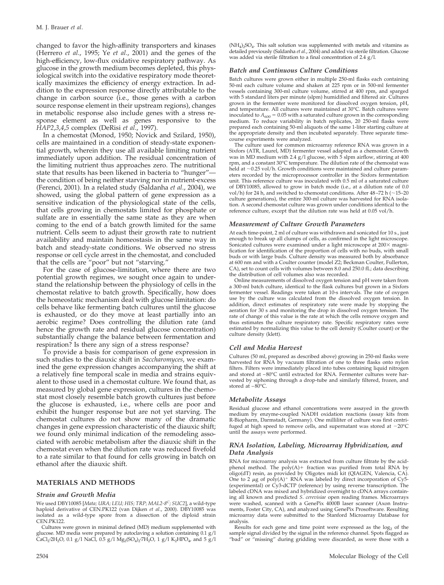changed to favor the high-affinity transporters and kinases (Herrero *et al*., 1995; Ye *et al*., 2001) and the genes of the high-efficiency, low-flux oxidative respiratory pathway. As glucose in the growth medium becomes depleted, this physiological switch into the oxidative respiratory mode theoretically maximizes the efficiency of energy extraction. In addition to the expression response directly attributable to the change in carbon source (i.e., those genes with a carbon source response element in their upstream regions), changes in metabolic response also include genes with a stress response element as well as genes responsive to the *HAP2*,*3*,*4*,*5* complex (DeRisi *et al*., 1997).

In a chemostat (Monod, 1950; Novick and Szilard, 1950), cells are maintained in a condition of steady-state exponential growth, wherein they use all available limiting nutrient immediately upon addition. The residual concentration of the limiting nutrient thus approaches zero. The nutritional state that results has been likened in bacteria to "hunger" the condition of being neither starving nor in nutrient-excess (Ferenci, 2001). In a related study (Saldanha *et al*., 2004), we showed, using the global pattern of gene expression as a sensitive indication of the physiological state of the cells, that cells growing in chemostats limited for phosphate or sulfate are in essentially the same state as they are when coming to the end of a batch growth limited for the same nutrient. Cells seem to adjust their growth rate to nutrient availability and maintain homeostasis in the same way in batch and steady-state conditions. We observed no stress response or cell cycle arrest in the chemostat, and concluded that the cells are "poor" but not "starving."

For the case of glucose-limitation, where there are two potential growth regimes, we sought once again to understand the relationship between the physiology of cells in the chemostat relative to batch growth. Specifically, how does the homeostatic mechanism deal with glucose limitation: do cells behave like fermenting batch cultures until the glucose is exhausted, or do they move at least partially into an aerobic regime? Does controlling the dilution rate (and hence the growth rate and residual glucose concentration) substantially change the balance between fermentation and respiration? Is there any sign of a stress response?

To provide a basis for comparison of gene expression in such studies to the diauxic shift in *Saccharomyces*, we examined the gene expression changes accompanying the shift at a relatively fine temporal scale in media and strains equivalent to those used in a chemostat culture. We found that, as measured by global gene expression, cultures in the chemostat most closely resemble batch growth cultures just before the glucose is exhausted, i.e., where cells are poor and exhibit the hunger response but are not yet starving. The chemostat cultures do not show many of the dramatic changes in gene expression characteristic of the diauxic shift; we found only minimal indication of the remodeling associated with aerobic metabolism after the diauxic shift in the chemostat even when the dilution rate was reduced fivefold to a rate similar to that found for cells growing in batch on ethanol after the diauxic shift.

#### **MATERIALS AND METHODS**

#### *Strain and Growth Media*

We used DBY10085 [*Mata; URA; LEU; HIS; TRP; MAL2-8C; SUC2*], a wild-type haploid derivative of CEN.PK122 (van Dijken et al., 2000). DBY10085 was isolated as a wild-type spore from a dissection of the diploid strain CEN.PK122.

Cultures were grown in minimal defined (MD) medium supplemented with glucose. MD media were prepared by autoclaving a solution containing 0.1 g/l<br>CaCl<sub>2</sub>·2H<sub>2</sub>O, 0.1 g/l NaCl, 0.5 g/l Mg<sub>2</sub>(SO<sub>4</sub>)<sub>2</sub>·7H<sub>2</sub>O, 1 g/l K<sub>2</sub>HPO<sub>4</sub>, and 5 g/l

 $(NH_4)_2SO_4$ . This salt solution was supplemented with metals and vitamins as detailed previously (Saldanha *et al*., 2004) and added via sterile filtration. Glucose was added via sterile filtration to a final concentration of 2.4 g/l.

#### *Batch and Continuous Culture Conditions*

Batch cultures were grown either in multiple 250-ml flasks each containing 50-ml each culture volume and shaken at 225 rpm or in 500-ml fermenter vessels containing 300-ml culture volume, stirred at 400 rpm, and sparged with 5 standard liters per minute (slpm) humidified and filtered air. Cultures grown in the fermenter were monitored for dissolved oxygen tension, pH, and temperature. All cultures were maintained at 30°C. Batch cultures were inoculated to  $A_{600} = 0.05$  with a saturated culture grown in the corresponding medium. To reduce variability in batch replicates, 20 250-ml flasks were prepared each containing 50-ml aliquots of the same 1-liter starting culture at the appropriate density and then incubated separately. Three separate timecourse experiments were analyzed.

The culture used for common microarray reference RNA was grown in a Sixfors (ATR, Laurel, MD) fermenter vessel adapted as a chemostat. Growth was in MD medium with 2.4 g/l glucose, with 5 slpm airflow, stirring at 400 rpm, and a constant 30°C temperature. The dilution rate of the chemostat was held at  $\sim$ 0.25 vol/h. Growth conditions were maintained and culture parameters recorded by the microprocessor controller in the Sixfors fermentation unit. This reference culture was inoculated with 0.5 ml of a saturated culture of DBY10085, allowed to grow in batch mode (i.e., at a dilution rate of 0.0 vol/h) for 24 h, and switched to chemostat conditions. After  $48-72$  h ( $\sim$ 15–20 culture generations), the entire 300-ml culture was harvested for RNA isolation. A second chemostat culture was grown under conditions identical to the reference culture, except that the dilution rate was held at 0.05 vol/h.

#### *Measurement of Culture Growth Parameters*

At each time-point, 2 ml of culture was withdrawn and sonicated for 10 s., just enough to break up all clumps of cells, as confirmed in the light microscope. Sonicated cultures were examined under a light microscope at  $200 \times$  magnification for identification of the proportion of cells with no buds, with small buds or with large buds. Culture density was measured both by absorbance at 600 nm and with a Coulter counter (model Z2; Beckman Coulter, Fullerton, CA), set to count cells with volumes between 8.0 and 250.0 fL; data describing the distribution of cell volumes also was recorded.

Online measurements of dissolved oxygen tension and pH were taken from a 300-ml batch culture, identical to the flask cultures but grown in a Sixfors fermenter vessel. Readings were taken at 10-s intervals. The rate of oxygen use by the culture was calculated from the dissolved oxygen tension. In addition, direct estimates of respiratory rate were made by stopping the aeration for 30 s and monitoring the drop in dissolved oxygen tension. The rate of change of this value is the rate at which the cells remove oxygen and thus estimates the culture respiratory rate. Specific respiratory rates were estimated by normalizing this value to the cell density (Coulter count) or the culture density (klett).

#### *Cell and Media Harvest*

Cultures (50 ml, prepared as described above) growing in 250-ml flasks were harvested for RNA by vacuum filtration of one to three flasks onto nylon filters. Filters were immediately placed into tubes containing liquid nitrogen and stored at –80°C until extracted for RNA. Fermenter cultures were harvested by siphoning through a drop-tube and similarly filtered, frozen, and stored at  $-80^{\circ}$ C.

#### *Metabolite Assays*

Residual glucose and ethanol concentrations were assayed in the growth medium by enzyme-coupled NADH oxidation reactions (assay kits from R-Biopharm, Darmstadt, Germany). One milliliter of culture was first centrifuged at high speed to remove cells, and supernatant was stored at  $-20^{\circ}$ C until the assays were performed.

#### *RNA Isolation, Labeling, Microarray Hybridization, and Data Analysis*

RNA for microarray analysis was extracted from culture filtrate by the acidphenol method. The  $poly(A)$ + fraction was purified from total RNA by oligo(dT) resin, as provided by Oligotex midi kit (QIAGEN, Valencia, CA). One to 2  $\mu$ g of poly(A)<sup>+</sup> RNA was labeled by direct incorporation of Cy5-<br>(experimental) or Cy3-dCTP (reference) by using reverse transcription. The labeled cDNA was mixed and hybridized overnight to cDNA arrays containing all known and predicted *S*. *cerevisiae* open reading frames. Microarrays were washed, scanned with a GenePix 4000B laser scanner (Axon Instruments, Foster City, CA), and analyzed using GenePix Prosoftware. Resulting microarray data were submitted to the Stanford Microarray Database for analysis.

Results for each gene and time point were expressed as the  $log<sub>2</sub>$  of the sample signal divided by the signal in the reference channel. Spots flagged as "bad" or "missing" during gridding were discarded, as were those with a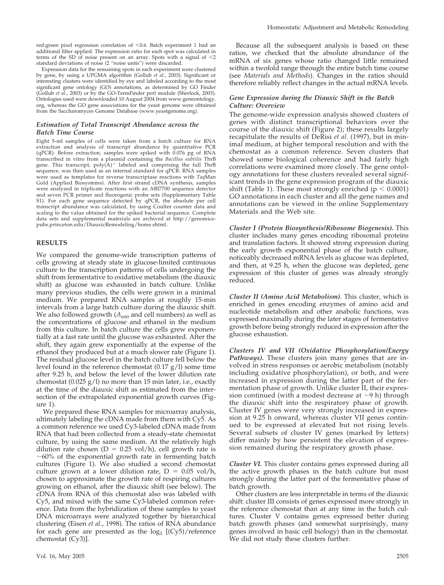red:green pixel regression correlation of <0.6. Batch experiment 1 had an additional filter applied. The expression ratio for each spot was calculated in terms of the SD of noise present on an array. Spots with a signal of  $\leq$ 2 standard deviations of noise (2 "noise units") were discarded.

Expression data for the remaining spots in each experiment were clustered by gene, by using a UPGMA algorithm (Gollub *et al*., 2003). Significant or interesting clusters were identified by eye and labeled according to the most significant gene ontology (GO) annotations, as determined by GO Finder (Gollub *et al*., 2003) or by the GO-TermFinder perl module (Sherlock, 2003). Ontologies used were downloaded 10 August 2004 from www.geneontology. org, whereas the GO gene associations for the yeast genome were obtained from the Saccharomyces Genome Database (www.yeastgenome.org).

#### *Estimation of Total Transcript Abundance across the Batch Time Course*

Eight 5-ml samples of cells were taken from a batch culture for RNA extraction and analysis of transcript abundance by quantitative PCR (qPCR). Before extraction, samples were spiked with  $0.076$  pg of RNA transcribed in vitro from a plasmid containing the *Bacillus subtilis* ThrB gene. This transcript,  $poly(A)^+$  labeled and comprising the full ThrB sequence, was then used as an internal standard for qPCR. RNA samples were used as templates for reverse transcriptase reactions with *Taq*Man Gold (Applied Biosystems). After first strand cDNA synthesis, samples were analyzed in triplicate reactions with an ABI7700 sequence detector and seven PCR primer and fluorogenic probe sets (Supplementary Table S1). For each gene sequence detected by qPCR, the absolute per cell transcript abundance was calculated, by using Coulter counter data and scaling to the value obtained for the spiked bacterial sequence. Complete data sets and supplemental materials are archived at http://genomicspubs.princeton.edu/DiauxicRemodeling/home.shtml.

#### **RESULTS**

We compared the genome-wide transcription patterns of cells growing at steady state in glucose-limited continuous culture to the transcription patterns of cells undergoing the shift from fermentative to oxidative metabolism (the diauxic shift) as glucose was exhausted in batch culture. Unlike many previous studies, the cells were grown in a minimal medium. We prepared RNA samples at roughly 15-min intervals from a large batch culture during the diauxic shift. We also followed growth  $(A_{600})$  and cell numbers) as well as the concentrations of glucose and ethanol in the medium from this culture. In batch culture the cells grew exponentially at a fast rate until the glucose was exhausted. After the shift, they again grew exponentially at the expense of the ethanol they produced but at a much slower rate (Figure 1). The residual glucose level in the batch culture fell below the level found in the reference chemostat  $(0.17 \text{ g/l})$  some time after 9.25 h, and below the level of the lower dilution rate chemostat (0.025 g/l) no more than 15 min later, i.e., exactly at the time of the diauxic shift as estimated from the intersection of the extrapolated exponential growth curves (Figure 1).

We prepared these RNA samples for microarray analysis, ultimately labeling the cDNA made from them with Cy5. As a common reference we used Cy3-labeled cDNA made from RNA that had been collected from a steady-state chemostat culture, by using the same medium. At the relatively high dilution rate chosen ( $D = 0.25$  vol/h), cell growth rate is  $\sim$  60% of the exponential growth rate in fermenting batch cultures (Figure 1). We also studied a second chemostat culture grown at a lower dilution rate,  $D = 0.05$  vol/h, chosen to approximate the growth rate of respiring cultures growing on ethanol, after the diauxic shift (see below). The cDNA from RNA of this chemostat also was labeled with Cy5, and mixed with the same Cy3-labeled common reference. Data from the hybridization of these samples to yeast DNA microarrays were analyzed together by hierarchical clustering (Eisen *et al*., 1998). The ratios of RNA abundance for each gene are presented as the  $log_2$  [(Cy5)/reference chemostat (Cy3)].

Because all the subsequent analysis is based on these ratios, we checked that the absolute abundance of the mRNA of six genes whose ratio changed little remained within a twofold range through the entire batch time course (see *Materials and Methods*). Changes in the ratios should therefore reliably reflect changes in the actual mRNA levels.

#### *Gene Expression during the Diauxic Shift in the Batch Culture: Overview*

The genome-wide expression analysis showed clusters of genes with distinct transcriptional behaviors over the course of the diauxic shift (Figure 2); these results largely recapitulate the results of DeRisi *et al*. (1997), but in minimal medium, at higher temporal resolution and with the chemostat as a common reference. Seven clusters that showed some biological coherence and had fairly high correlations were examined more closely. The gene ontology annotations for these clusters revealed several significant trends in the gene expression program of the diauxic shift (Table 1). These most strongly enriched ( $p < 0.0001$ ) GO annotations in each cluster and all the gene names and annotations can be viewed in the online Supplementary Materials and the Web site.

*Cluster I (Protein Biosynthesis/Ribosome Biogenesis).* This cluster includes many genes encoding ribosomal proteins and translation factors. It showed strong expression during the early growth exponential phase of the batch culture, noticeably decreased mRNA levels as glucose was depleted, and then, at 9.25 h, when the glucose was depleted, gene expression of this cluster of genes was already strongly reduced.

*Cluster II (Amino Acid Metabolism)*. This cluster, which is enriched in genes encoding enzymes of amino acid and nucleotide metabolism and other anabolic functions, was expressed maximally during the later stages of fermentative growth before being strongly reduced in expression after the glucose exhaustion.

*Clusters IV and VII (Oxidative Phosphorylation/Energy Pathways).* These clusters join many genes that are involved in stress responses or aerobic metabolism (notably including oxidative phosphorylation), or both, and were increased in expression during the latter part of the fermentation phase of growth. Unlike cluster II, their expression continued (with a modest decrease at  $\sim$ 9 h) through the diauxic shift into the respiratory phase of growth. Cluster IV genes were very strongly increased in expression at 9.25 h onward, whereas cluster VII genes continued to be expressed at elevated but not rising levels. Several subsets of cluster IV genes (marked by letters) differ mainly by how persistent the elevation of expression remained during the respiratory growth phase.

*Cluster VI.* This cluster contains genes expressed during all the active growth phases in the batch culture but most strongly during the latter part of the fermentative phase of batch growth.

Other clusters are less interpretable in terms of the diauxic shift: cluster III consists of genes expressed more strongly in the reference chemostat than at any time in the batch cultures. Cluster V contains genes expressed better during batch growth phases (and somewhat surprisingly, many genes involved in basic cell biology) than in the chemostat. We did not study these clusters further.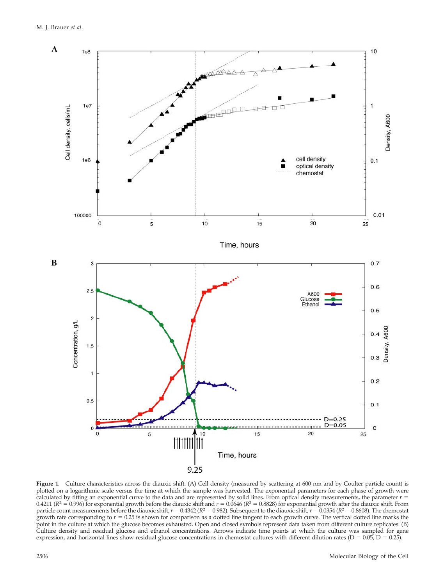

Figure 1. Culture characteristics across the diauxic shift. (A) Cell density (measured by scattering at 600 nm and by Coulter particle count) is plotted on a logarithmic scale versus the time at which the sample was harvested. The exponential parameters for each phase of growth were calculated by fitting an exponential curve to the data and are represented by solid lines. From optical density measurements, the parameter  $r =$ 0.4211 ( $R^2$  = 0.996) for exponential growth before the diauxic shift and  $r = 0.0646$  ( $R^2$  = 0.8828) for exponential growth after the diauxic shift. From particle count measurements before the diauxic shift,  $r = 0.4342$  ( $R^2 = 0.982$ ). Subsequent to the diauxic shift,  $r = 0.0354$  ( $R^2 = 0.8608$ ). The chemostat growth rate corresponding to  $r = 0.25$  is shown for comparison as a dotted line tangent to each growth curve. The vertical dotted line marks the point in the culture at which the glucose becomes exhausted. Open and closed symbols represent data taken from different culture replicates. (B) Culture density and residual glucose and ethanol concentrations. Arrows indicate time points at which the culture was sampled for gene expression, and horizontal lines show residual glucose concentrations in chemostat cultures with different dilution rates ( $D = 0.05$ ,  $D = 0.25$ ).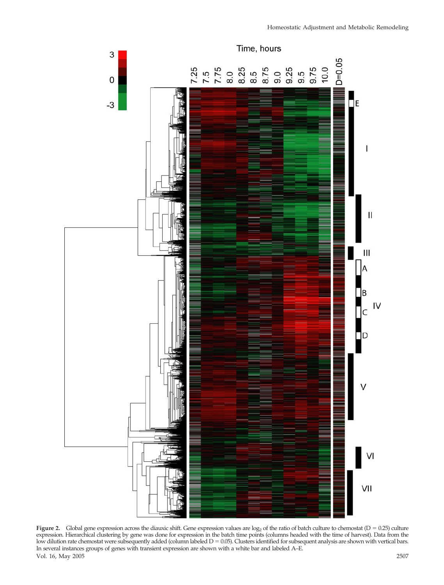

**Figure 2.** Global gene expression across the diauxic shift. Gene expression values are  $log_2$  of the ratio of batch culture to chemostat (D = 0.25) culture expression. Hierarchical clustering by gene was done for expression in the batch time points (columns headed with the time of harvest). Data from the low dilution rate chemostat were subsequently added (column labeled D = 0.05). Clusters identified for subsequent analysis are shown with vertical bars. In several instances groups of genes with transient expression are shown with a white bar and labeled A–E. Vol. 16, May 2005 2507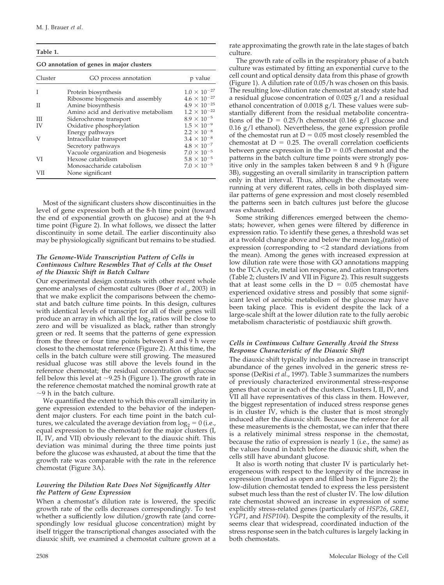| Table 1.                                 |  |
|------------------------------------------|--|
| GO annotation of genes in major clusters |  |

| Cluster | GO process annotation                | p value               |
|---------|--------------------------------------|-----------------------|
|         | Protein biosynthesis                 | $1.0 \times 10^{-27}$ |
|         | Ribosome biogenesis and assembly     | $4.6 \times 10^{-27}$ |
| Ш       | Amine biosynthesis                   | $4.9 \times 10^{-25}$ |
|         | Amino acid and derivative metabolism | $1.2 \times 10^{-22}$ |
| Ш       | Siderochrome transport               | $8.9 \times 10^{-5}$  |
| TV.     | Oxidative phosphorylation            | $1.5 \times 10^{-9}$  |
|         | Energy pathways                      | $2.2 \times 10^{-8}$  |
| V       | Intracellular transport              | $3.4 \times 10^{-8}$  |
|         | Secretory pathways                   | $4.8 \times 10^{-7}$  |
|         | Vacuole organization and biogenesis  | $7.0 \times 10^{-5}$  |
| VI      | Hexose catabolism                    | $5.8 \times 10^{-5}$  |
|         | Monosaccharide catabolism            | $7.0 \times 10^{-5}$  |
| VII     | None significant                     |                       |

Most of the significant clusters show discontinuities in the level of gene expression both at the 8-h time point (toward the end of exponential growth on glucose) and at the 9-h time point (Figure 2). In what follows, we dissect the latter discontinuity in some detail. The earlier discontinuity also may be physiologically significant but remains to be studied.

#### *The Genome-Wide Transcription Pattern of Cells in Continuous Culture Resembles That of Cells at the Onset of the Diauxic Shift in Batch Culture*

Our experimental design contrasts with other recent whole genome analyses of chemostat cultures (Boer *et al*., 2003) in that we make explicit the comparisons between the chemostat and batch culture time points. In this design, cultures with identical levels of transcript for all of their genes will produce an array in which all the  $log<sub>2</sub>$  ratios will be close to zero and will be visualized as black, rather than strongly green or red. It seems that the patterns of gene expression from the three or four time points between  $8$  and  $\overline{9}$  h were closest to the chemostat reference (Figure 2). At this time, the cells in the batch culture were still growing. The measured residual glucose was still above the levels found in the reference chemostat; the residual concentration of glucose fell below this level at  $\sim$ 9.25 h (Figure 1). The growth rate in the reference chemostat matched the nominal growth rate at  $\sim$ 9 h in the batch culture.

We quantified the extent to which this overall similarity in gene expression extended to the behavior of the independent major clusters. For each time point in the batch cultures, we calculated the average deviation from  $log_2 = 0$  (i.e., equal expression to the chemostat) for the major clusters (I, II, IV, and VII) obviously relevant to the diauxic shift. This deviation was minimal during the three time points just before the glucose was exhausted, at about the time that the growth rate was comparable with the rate in the reference chemostat (Figure 3A).

# *Lowering the Dilution Rate Does Not Significantly Alter the Pattern of Gene Expression*

When a chemostat's dilution rate is lowered, the specific growth rate of the cells decreases correspondingly. To test whether a sufficiently low dilution/growth rate (and correspondingly low residual glucose concentration) might by itself trigger the transcriptional changes associated with the diauxic shift, we examined a chemostat culture grown at a

rate approximating the growth rate in the late stages of batch culture.

The growth rate of cells in the respiratory phase of a batch culture was estimated by fitting an exponential curve to the cell count and optical density data from this phase of growth (Figure 1). A dilution rate of 0.05/h was chosen on this basis. The resulting low-dilution rate chemostat at steady state had a residual glucose concentration of 0.025 g/l and a residual ethanol concentration of 0.0018 g/l. These values were substantially different from the residual metabolite concentrations of the  $D = 0.25/h$  chemostat (0.166 g/l glucose and 0.16 g/l ethanol). Nevertheless, the gene expression profile of the chemostat run at  $D = 0.05$  most closely resembled the chemostat at  $D = 0.25$ . The overall correlation coefficients between gene expression in the  $D = 0.05$  chemostat and the patterns in the batch culture time points were strongly positive only in the samples taken between 8 and 9 h (Figure 3B), suggesting an overall similarity in transcription pattern only in that interval. Thus, although the chemostats were running at very different rates, cells in both displayed similar patterns of gene expression and most closely resembled the patterns seen in batch cultures just before the glucose was exhausted.

Some striking differences emerged between the chemostats; however, when genes were filtered by difference in expression ratio. To identify these genes, a threshold was set at a twofold change above and below the mean  $log_2(\text{ratio})$  of expression (corresponding to  $\leq$ 2 standard deviations from the mean). Among the genes with increased expression at low dilution rate were those with GO annotations mapping to the TCA cycle, metal ion response, and cation transporters (Table 2; clusters IV and VII in Figure 2). This result suggests that at least some cells in the  $\overline{D} = 0.05$  chemostat have experienced oxidative stress and possibly that some significant level of aerobic metabolism of the glucose may have been taking place. This is evident despite the lack of a large-scale shift at the lower dilution rate to the fully aerobic metabolism characteristic of postdiauxic shift growth.

# *Cells in Continuous Culture Generally Avoid the Stress Response Characteristic of the Diauxic Shift*

The diauxic shift typically includes an increase in transcript abundance of the genes involved in the generic stress response (DeRisi *et al*., 1997). Table 3 summarizes the numbers of previously characterized environmental stress-response genes that occur in each of the clusters. Clusters I, II, IV, and VII all have representatives of this class in them. However, the biggest representation of induced stress response genes is in cluster IV, which is the cluster that is most strongly induced after the diauxic shift. Because the reference for all these measurements is the chemostat, we can infer that there is a relatively minimal stress response in the chemostat, because the ratio of expression is nearly 1 (i.e., the same) as the values found in batch before the diauxic shift, when the cells still have abundant glucose.

It also is worth noting that cluster IV is particularly heterogeneous with respect to the longevity of the increase in expression (marked as open and filled bars in Figure 2); the low-dilution chemostat tended to express the less persistent subset much less than the rest of cluster IV. The low dilution rate chemostat showed an increase in expression of some explicitly stress-related genes (particularly of *HSP26*, *GRE1*, *YGP1*, and *HSP104*). Despite the complexity of the results, it seems clear that widespread, coordinated induction of the stress response seen in the batch cultures is largely lacking in both chemostats.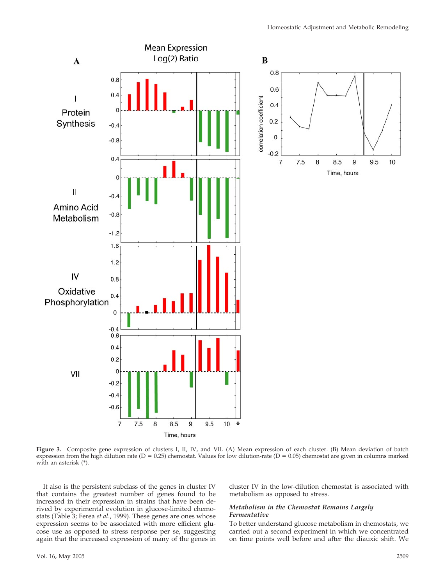

**Figure 3.** Composite gene expression of clusters I, II, IV, and VII. (A) Mean expression of each cluster. (B) Mean deviation of batch expression from the high dilution rate ( $D = 0.25$ ) chemostat. Values for low dilution-rate ( $D = 0.05$ ) chemostat are given in columns marked with an asterisk (\*).

It also is the persistent subclass of the genes in cluster IV that contains the greatest number of genes found to be increased in their expression in strains that have been derived by experimental evolution in glucose-limited chemostats (Table 3; Ferea *et al*., 1999). These genes are ones whose expression seems to be associated with more efficient glucose use as opposed to stress response per se, suggesting again that the increased expression of many of the genes in cluster IV in the low-dilution chemostat is associated with metabolism as opposed to stress.

# *Metabolism in the Chemostat Remains Largely Fermentative*

To better understand glucose metabolism in chemostats, we carried out a second experiment in which we concentrated on time points well before and after the diauxic shift. We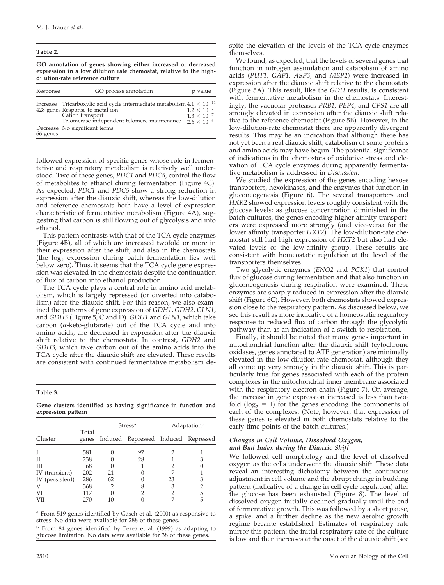#### **Table 2.**

**GO annotation of genes showing either increased or decreased expression in a low dilution rate chemostat, relative to the highdilution-rate reference culture**

| Response | GO process annotation                                                                                              |                      | p value              |
|----------|--------------------------------------------------------------------------------------------------------------------|----------------------|----------------------|
|          | Increase Tricarboxylic acid cycle intermediate metabolism $4.1 \times 10^{-11}$<br>428 genes Response to metal ion |                      | $1.2 \times 10^{-7}$ |
|          | Cation transport<br>Telomerase-independent telomere maintenance                                                    | $2.6 \times 10^{-6}$ | $1.3 \times 10^{-7}$ |
| 66 genes | Decrease No significant terms                                                                                      |                      |                      |

followed expression of specific genes whose role in fermentative and respiratory metabolism is relatively well understood. Two of these genes, *PDC1* and *PDC5*, control the flow of metabolites to ethanol during fermentation (Figure 4C). As expected, *PDC1* and *PDC5* show a strong reduction in expression after the diauxic shift, whereas the low-dilution and reference chemostats both have a level of expression characteristic of fermentative metabolism (Figure 4A), suggesting that carbon is still flowing out of glycolysis and into ethanol.

This pattern contrasts with that of the TCA cycle enzymes (Figure 4B), all of which are increased twofold or more in their expression after the shift, and also in the chemostats (the  $log<sub>2</sub>$  expression during batch fermentation lies well below zero). Thus, it seems that the TCA cycle gene expression was elevated in the chemostats despite the continuation of flux of carbon into ethanol production.

The TCA cycle plays a central role in amino acid metabolism, which is largely repressed (or diverted into catabolism) after the diauxic shift. For this reason, we also examined the patterns of gene expression of *GDH1*, *GDH2*, *GLN1*, and *GDH3* (Figure 5, C and D). *GDH1* and *GLN1*, which take  $\alpha$ -keto-glutarate) out of the TCA cycle and into amino acids, are decreased in expression after the diauxic shift relative to the chemostats. In contrast, *GDH2* and *GDH3*, which take carbon out of the amino acids into the TCA cycle after the diauxic shift are elevated. These results are consistent with continued fermentative metabolism de-

**Table 3.**

**Gene clusters identified as having significance in function and expression pattern**

|                 |       | <b>Stress<sup>a</sup></b> |                                           | Adaptation <sup>b</sup> |   |
|-----------------|-------|---------------------------|-------------------------------------------|-------------------------|---|
| Cluster         | Total |                           | genes Induced Repressed Induced Repressed |                         |   |
|                 | 581   |                           | 97                                        |                         |   |
| П               | 238   |                           | 28                                        |                         | З |
| Ш               | 68    |                           |                                           |                         |   |
| IV (transient)  | 202   | 21                        |                                           |                         |   |
| IV (persistent) | 286   | 62                        |                                           | 23                      | 3 |
|                 | 368   | 2                         |                                           | 3                       |   |
| VI              | 117   |                           | っ                                         |                         | 5 |
|                 | 270   |                           |                                           |                         |   |

<sup>a</sup> From 519 genes identified by Gasch et al. (2000) as responsive to stress. No data were available for 288 of these genes.

<sup>b</sup> From 84 genes identified by Ferea et al. (1999) as adapting to glucose limitation. No data were available for 38 of these genes.

spite the elevation of the levels of the TCA cycle enzymes themselves.

We found, as expected, that the levels of several genes that function in nitrogen assimilation and catabolism of amino acids (*PUT1*, *GAP1*, *ASP3*, and *MEP2*) were increased in expression after the diauxic shift relative to the chemostats (Figure 5A). This result, like the *GDH* results, is consistent with fermentative metabolism in the chemostats. Interestingly, the vacuolar proteases *PRB1*, *PEP4*, and *CPS1* are all strongly elevated in expression after the diauxic shift relative to the reference chemostat (Figure 5B). However, in the low-dilution-rate chemostat there are apparently divergent results. This may be an indication that although there has not yet been a real diauxic shift, catabolism of some proteins and amino acids may have begun. The potential significance of indications in the chemostats of oxidative stress and elevation of TCA cycle enzymes during apparently fermentative metabolism is addressed in *Discussion*.

We studied the expression of the genes encoding hexose transporters, hexokinases, and the enzymes that function in gluconeogenesis (Figure 6). The several transporters and *HXK2* showed expression levels roughly consistent with the glucose levels: as glucose concentration diminished in the batch cultures, the genes encoding higher affinity transporters were expressed more strongly (and vice-versa for the lower affinity transporter *HXT2*). The low-dilution-rate chemostat still had high expression of *HXT2* but also had elevated levels of the low-affinity group. These results are consistent with homeostatic regulation at the level of the transporters themselves.

Two glycolytic enzymes (*ENO2* and *PGK1*) that control flux of glucose during fermentation and that also function in gluconeogenesis during respiration were examined. These enzymes are sharply reduced in expression after the diauxic shift (Figure 6C). However, both chemostats showed expression close to the respiratory pattern. As discussed below, we see this result as more indicative of a homeostatic regulatory response to reduced flux of carbon through the glycolytic pathway than as an indication of a switch to respiration.

Finally, it should be noted that many genes important in mitochondrial function after the diauxic shift (cytochrome oxidases, genes annotated to ATP generation) are minimally elevated in the low-dilution-rate chemostat, although they all come up very strongly in the diauxic shift. This is particularly true for genes associated with each of the protein complexes in the mitochondrial inner membrane associated with the respiratory electron chain (Figure 7). On average, the increase in gene expression increased is less than twofold ( $log<sub>2</sub> = 1$ ) for the genes encoding the components of each of the complexes. (Note, however, that expression of these genes is elevated in both chemostats relative to the early time points of the batch cultures.)

#### *Changes in Cell Volume, Dissolved Oxygen, and Bud Index during the Diauxic Shift*

We followed cell morphology and the level of dissolved oxygen as the cells underwent the diauxic shift. These data reveal an interesting dichotomy between the continuous adjustment in cell volume and the abrupt change in budding pattern (indicative of a change in cell cycle regulation) after the glucose has been exhausted (Figure 8). The level of dissolved oxygen initially declined gradually until the end of fermentative growth. This was followed by a short pause, a spike, and a further decline as the new aerobic growth regime became established. Estimates of respiratory rate mirror this pattern: the initial respiratory rate of the culture is low and then increases at the onset of the diauxic shift (see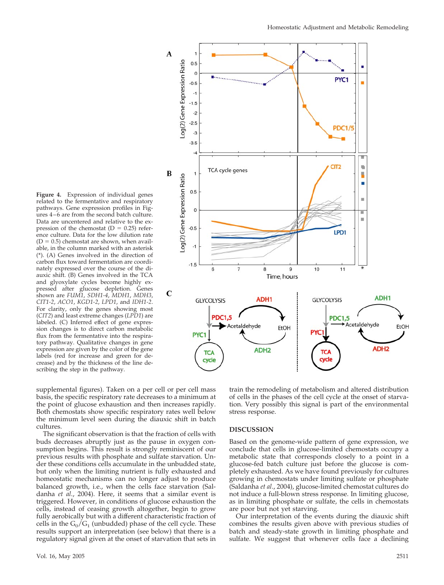**Figure 4.** Expression of individual genes related to the fermentative and respiratory pathways. Gene expression profiles in Figures 4–6 are from the second batch culture. Data are uncentered and relative to the expression of the chemostat ( $D = 0.25$ ) reference culture. Data for the low dilution rate  $(D = 0.5)$  chemostat are shown, when available, in the column marked with an asterisk (\*). (A) Genes involved in the direction of carbon flux toward fermentation are coordinately expressed over the course of the diauxic shift. (B) Genes involved in the TCA and glyoxylate cycles become highly expressed after glucose depletion. Genes shown are *FUM1*, *SDH1-4*, *MDH1*, *MDH3*, *CIT1-2*, *ACO1*, *KGD1-2*, *LPD1*, and *IDH1-2*. For clarity, only the genes showing most (*CIT2*) and least extreme changes (*LPD1*) are labeled. (C) Inferred effect of gene expression changes is to direct carbon metabolic flux from the fermentative into the respiratory pathway. Qualitative changes in gene expression are given by the color of the gene labels (red for increase and green for decrease) and by the thickness of the line describing the step in the pathway.

 $\mathbf{A}$ Log(2) Gene Expression Ratio  $0.5$  $\mathbf 0$ PYC1  $-0.5$  $\mathcal{A}$  $-1.5$  $-2$  $-2.5$ PDC<sub>1</sub>  $-3$  $-3.5$  $-4$ CIT<sub>2</sub> ٠ TCA cycle genes B ¥ Log(2) Gene Expression Ratio Ė  $0.5$ m  $\,$  0 ш  $-0.5$ LPD<sub>1</sub>  $-1$  $-1.5$ 6  $\overline{7}$ 8 9 10  $11$ Time, hours  $\mathbf C$ ADH<sub>1</sub> ADH<sub>1</sub> **GLYCOLYSIS GLYCOLYSIS PDC1.5 PDC1,5** Acetaldehyde Acetaldehyde EtOH EtOH **PYC** PYC1 ADH<sub>2</sub> ADH<sub>2</sub> **TCA** TC cycle cycle

supplemental figures). Taken on a per cell or per cell mass basis, the specific respiratory rate decreases to a minimum at the point of glucose exhaustion and then increases rapidly. Both chemostats show specific respiratory rates well below the minimum level seen during the diauxic shift in batch cultures.

The significant observation is that the fraction of cells with buds decreases abruptly just as the pause in oxygen consumption begins. This result is strongly reminiscent of our previous results with phosphate and sulfate starvation. Under these conditions cells accumulate in the unbudded state, but only when the limiting nutrient is fully exhausted and homeostatic mechanisms can no longer adjust to produce balanced growth, i.e., when the cells face starvation (Saldanha *et al*., 2004). Here, it seems that a similar event is triggered. However, in conditions of glucose exhaustion the cells, instead of ceasing growth altogether, begin to grow fully aerobically but with a different characteristic fraction of cells in the  $G_0/G_1$  (unbudded) phase of the cell cycle. These results support an interpretation (see below) that there is a regulatory signal given at the onset of starvation that sets in train the remodeling of metabolism and altered distribution of cells in the phases of the cell cycle at the onset of starvation. Very possibly this signal is part of the environmental stress response.

#### **DISCUSSION**

Based on the genome-wide pattern of gene expression, we conclude that cells in glucose-limited chemostats occupy a metabolic state that corresponds closely to a point in a glucose-fed batch culture just before the glucose is completely exhausted. As we have found previously for cultures growing in chemostats under limiting sulfate or phosphate (Saldanha *et al*., 2004), glucose-limited chemostat cultures do not induce a full-blown stress response. In limiting glucose, as in limiting phosphate or sulfate, the cells in chemostats are poor but not yet starving.

Our interpretation of the events during the diauxic shift combines the results given above with previous studies of batch and steady-state growth in limiting phosphate and sulfate. We suggest that whenever cells face a declining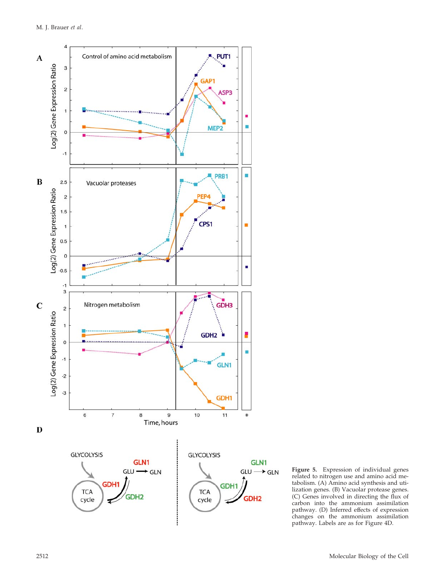

**Figure 5.** Expression of individual genes related to nitrogen use and amino acid metabolism. (A) Amino acid synthesis and utilization genes. (B) Vacuolar protease genes. (C) Genes involved in directing the flux of carbon into the ammonium assimilation pathway. (D) Inferred effects of expression changes on the ammonium assimilation pathway. Labels are as for Figure 4D.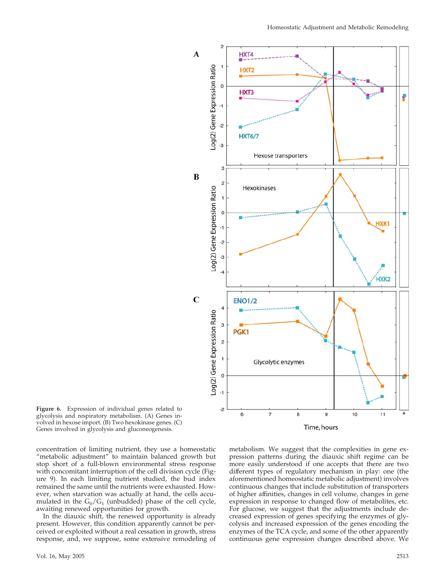

**Figure 6.** Expression of individual genes related to glycolysis and respiratory metabolism. (A) Genes involved in hexose import. (B) Two hexokinase genes. (C) Genes involved in glycolysis and gluconeogenesis.

concentration of limiting nutrient, they use a homeostatic "metabolic adjustment" to maintain balanced growth but stop short of a full-blown environmental stress response with concomitant interruption of the cell division cycle (Figure 9). In each limiting nutrient studied, the bud index remained the same until the nutrients were exhausted. However, when starvation was actually at hand, the cells accumulated in the  $G_0/G_1$  (unbudded) phase of the cell cycle, awaiting renewed opportunities for growth.

In the diauxic shift, the renewed opportunity is already present. However, this condition apparently cannot be perceived or exploited without a real cessation in growth, stress response, and, we suppose, some extensive remodeling of metabolism. We suggest that the complexities in gene expression patterns during the diauxic shift regime can be more easily understood if one accepts that there are two different types of regulatory mechanism in play: one (the aforementioned homeostatic metabolic adjustment) involves continuous changes that include substitution of transporters of higher affinities, changes in cell volume, changes in gene expression in response to changed flow of metabolites, etc. For glucose, we suggest that the adjustments include decreased expression of genes specifying the enzymes of glycolysis and increased expression of the genes encoding the enzymes of the TCA cycle, and some of the other apparently continuous gene expression changes described above. We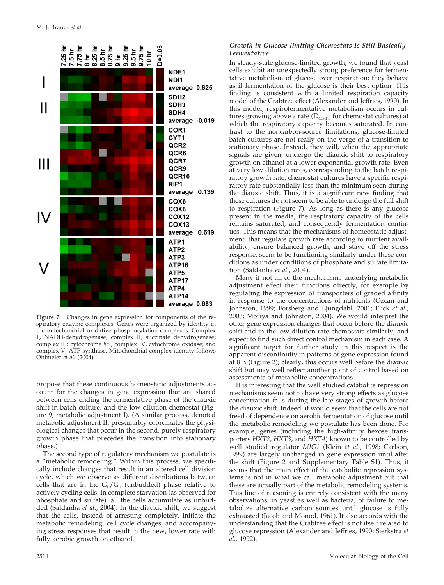

**Figure 7.** Changes in gene expression for components of the respiratory enzyme complexes. Genes were organized by identity in the mitochondrial oxidative phosphorylation complexes. Complex 1, NADH-dehydrogenase; complex II, succinate dehydrogenase; complex III: cytochrome *bc*1; complex IV, cytochrome oxidase; and complex V, ATP synthase. Mitochondrial complex identity follows Ohlmeier *et al*. (2004).

propose that these continuous homeostatic adjustments account for the changes in gene expression that are shared between cells ending the fermentative phase of the diauxic shift in batch culture, and the low-dilution chemostat (Figure 9, metabolic adjustment I). (A similar process, denoted metabolic adjustment II, presumably coordinates the physiological changes that occur in the second, purely respiratory growth phase that precedes the transition into stationary phase.)

The second type of regulatory mechanism we postulate is a "metabolic remodeling." Within this process, we specifically include changes that result in an altered cell division cycle, which we observe as different distributions between cells that are in the  $G_0/G_1$  (unbudded) phase relative to actively cycling cells. In complete starvation (as observed for phosphate and sulfate), all the cells accumulate as unbudded (Saldanha *et al*., 2004). In the diauxic shift, we suggest that the cells, instead of arresting completely, initiate the metabolic remodeling, cell cycle changes, and accompanying stress responses that result in the new, lower rate with fully aerobic growth on ethanol.

In steady-state glucose-limited growth, we found that yeast cells exhibit an unexpectedly strong preference for fermentative metabolism of glucose over respiration; they behave as if fermentation of the glucose is their best option. This finding is consistent with a limited respiration capacity model of the Crabtree effect (Alexander and Jeffries, 1990). In this model, respirofermentative metabolism occurs in cultures growing above a rate  $(D_{CRIT}$  for chemostat cultures) at which the respiratory capacity becomes saturated. In contrast to the noncarbon-source limitations, glucose-limited batch cultures are not really on the verge of a transition to stationary phase. Instead, they will, when the appropriate signals are given, undergo the diauxic shift to respiratory growth on ethanol at a lower exponential growth rate. Even at very low dilution rates, corresponding to the batch respiratory growth rate, chemostat cultures have a specific respiratory rate substantially less than the minimum seen during the diauxic shift. Thus, it is a significant new finding that these cultures do not seem to be able to undergo the full shift to respiration (Figure 7). As long as there is any glucose present in the media, the respiratory capacity of the cells remains saturated, and consequently fermentation continues. This means that the mechanisms of homeostatic adjustment, that regulate growth rate according to nutrient availability, ensure balanced growth, and stave off the stress response, seem to be functioning similarly under these conditions as under conditions of phosphate and sulfate limitation (Saldanha *et al*., 2004).

Many if not all of the mechanisms underlying metabolic adjustment effect their functions directly, for example by regulating the expression of transporters of graded affinity in response to the concentrations of nutrients (Ozcan and Johnston, 1999; Forsberg and Ljungdahl, 2001; Flick *et al*., 2003; Moriya and Johnston, 2004). We would interpret the other gene expression changes that occur before the diauxic shift and in the low-dilution-rate chemostats similarly, and expect to find such direct control mechanism in each case. A significant target for further study in this respect is the apparent discontinuity in patterns of gene expression found at 8 h (Figure 2); clearly, this occurs well before the diauxic shift but may well reflect another point of control based on assessments of metabolite concentrations.

It is interesting that the well studied catabolite repression mechanisms seem not to have very strong effects as glucose concentration falls during the late stages of growth before the diauxic shift. Indeed, it would seem that the cells are not freed of dependence on aerobic fermentation of glucose until the metabolic remodeling we postulate has been done. For example, genes (including the high-affinity hexose transporters *HXT2*, *HXT3*, and *HXT4*) known to be controlled by well studied regulator *MIG1* (Klein *et al*., 1998; Carlson, 1999) are largely unchanged in gene expression until after the shift (Figure 2 and Supplementary Table S1). Thus, it seems that the main effect of the catabolite repression systems is not in what we call metabolic adjustment but that these are actually part of the metabolic remodeling systems. This line of reasoning is entirely consistent with the many observations, in yeast as well as bacteria, of failure to metabolize alternative carbon sources until glucose is fully exhausted (Jacob and Monod, 1961). It also accords with the understanding that the Crabtree effect is not itself related to glucose repression (Alexander and Jeffries, 1990; Sierkstra *et al*., 1992).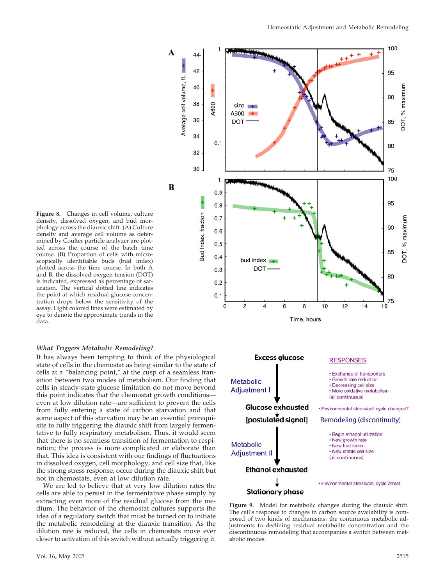

**Figure 8.** Changes in cell volume, culture density, dissolved oxygen, and bud morphology across the diauxic shift. (A) Culture density and average cell volume as determined by Coulter particle analyzer are plotted across the course of the batch time course. (B) Proportion of cells with microscopically identifiable buds (bud index) plotted across the time course. In both A and B, the dissolved oxygen tension (DOT) is indicated, expressed as percentage of saturation. The vertical dotted line indicates the point at which residual glucose concentration drops below the sensitivity of the assay. Light colored lines were estimated by eye to denote the approximate trends in the data.

#### *What Triggers Metabolic Remodeling?*

It has always been tempting to think of the physiological state of cells in the chemostat as being similar to the state of cells at a "balancing point," at the cusp of a seamless transition between two modes of metabolism. Our finding that cells in steady-state glucose limitation do not move beyond this point indicates that the chemostat growth conditions even at low dilution rate—are sufficient to prevent the cells from fully entering a state of carbon starvation and that some aspect of this starvation may be an essential prerequisite to fully triggering the diauxic shift from largely fermentative to fully respiratory metabolism. Thus, it would seem that there is no seamless transition of fermentation to respiration; the process is more complicated or elaborate than that. This idea is consistent with our findings of fluctuations in dissolved oxygen, cell morphology, and cell size that, like the strong stress response, occur during the diauxic shift but not in chemostats, even at low dilution rate.

We are led to believe that at very low dilution rates the cells are able to persist in the fermentative phase simply by extracting even more of the residual glucose from the medium. The behavior of the chemostat cultures supports the idea of a regulatory switch that must be turned on to initiate the metabolic remodeling at the diauxic transition. As the dilution rate is reduced, the cells in chemostats move ever closer to activation of this switch without actually triggering it.



**Figure 9.** Model for metabolic changes during the diauxic shift. The cell's response to changes in carbon source availability is composed of two kinds of mechanisms: the continuous metabolic adjustments to declining residual metabolite concentration and the discontinuous remodeling that accompanies a switch between metabolic modes.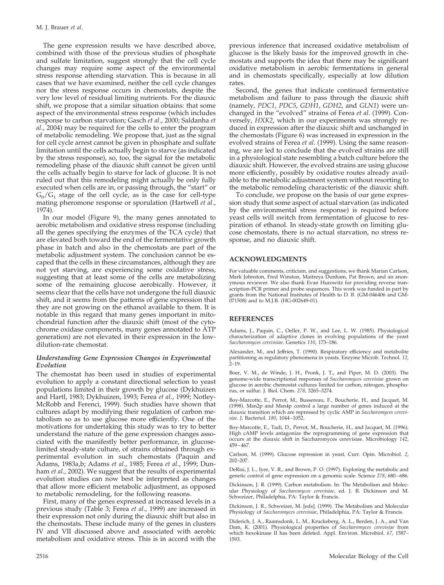The gene expression results we have described above, combined with those of the previous studies of phosphate and sulfate limitation, suggest strongly that the cell cycle changes may require some aspect of the environmental stress response attending starvation. This is because in all cases that we have examined, neither the cell cycle changes nor the stress response occurs in chemostats, despite the very low level of residual limiting nutrients. For the diauxic shift, we propose that a similar situation obtains: that some aspect of the environmental stress response (which includes response to carbon starvation; Gasch *et al*., 2000; Saldanha *et al*., 2004) may be required for the cells to enter the program of metabolic remodeling. We propose that, just as the signal for cell cycle arrest cannot be given in phosphate and sulfate limitation until the cells actually begin to starve (as indicated by the stress response), so, too, the signal for the metabolic remodeling phase of the diauxic shift cannot be given until the cells actually begin to starve for lack of glucose. It is not ruled out that this remodeling might actually be only fully executed when cells are in, or passing through, the "start" or  $G_0/G_1$  stage of the cell cycle, as is the case for cell-type mating pheromone response or sporulation (Hartwell *et al*., 1974).

In our model (Figure 9), the many genes annotated to aerobic metabolism and oxidative stress response (including all the genes specifying the enzymes of the TCA cycle) that are elevated both toward the end of the fermentative growth phase in batch and also in the chemostats are part of the metabolic adjustment system. The conclusion cannot be escaped that the cells in these circumstances, although they are not yet starving, are experiencing some oxidative stress, suggesting that at least some of the cells are metabolizing some of the remaining glucose aerobically. However, it seems clear that the cells have not undergone the full diauxic shift, and it seems from the patterns of gene expression that they are not growing on the ethanol available to them. It is notable in this regard that many genes important in mitochondrial function after the diauxic shift (most of the cytochrome oxidase components, many genes annotated to ATP generation) are not elevated in their expression in the lowdilution-rate chemostat.

# *Understanding Gene Expression Changes in Experimental Evolution*

The chemostat has been used in studies of experimental evolution to apply a constant directional selection to yeast populations limited in their growth by glucose (Dykhuizen and Hartl, 1983; Dykhuizen, 1993; Ferea *et al*., 1999; Notley-McRobb and Ferenci, 1999). Such studies have shown that cultures adapt by modifying their regulation of carbon metabolism so as to use glucose more efficiently. One of the motivations for undertaking this study was to try to better understand the nature of the gene expression changes associated with the manifestly better performance, in glucoselimited steady-state culture, of strains obtained through experimental evolution in such chemostats (Paquin and Adams, 1983a,b; Adams *et al*., 1985; Ferea *et al*., 1999; Dunham *et al*., 2002). We suggest that the results of experimental evolution studies can now best be interpreted as changes that allow more efficient metabolic adjustment, as opposed to metabolic remodeling, for the following reasons.

First, many of the genes expressed at increased levels in a previous study (Table 3; Ferea *et al*., 1999) are increased in their expression not only during the diauxic shift but also in the chemostats. These include many of the genes in clusters IV and VII discussed above and associated with aerobic metabolism and oxidative stress. This is in accord with the

previous inference that increased oxidative metabolism of glucose is the likely basis for the improved growth in chemostats and supports the idea that there may be significant oxidative metabolism in aerobic fermentations in general and in chemostats specifically, especially at low dilution rates.

Second, the genes that indicate continued fermentative metabolism and failure to pass through the diauxic shift (namely, *PDC1*, *PDC5*, *GDH1*, *GDH2*, and *GLN1*) were unchanged in the "evolved" strains of Ferea *et al*. (1999). Conversely, *HXK2*, which in our experiments was strongly reduced in expression after the diauxic shift and unchanged in the chemostats (Figure 6) was increased in expression in the evolved strains of Ferea *et al*. (1999). Using the same reasoning, we are led to conclude that the evolved strains are still in a physiological state resembling a batch culture before the diauxic shift. However, the evolved strains are using glucose more efficiently, possibly by oxidative routes already available to the metabolic adjustment system without resorting to the metabolic remodeling characteristic of the diauxic shift.

To conclude, we propose on the basis of our gene expression study that some aspect of actual starvation (as indicated by the environmental stress response) is required before yeast cells will switch from fermentation of glucose to respiration of ethanol. In steady-state growth on limiting glucose chemostats, there is no actual starvation, no stress response, and no diauxic shift.

# **ACKNOWLEDGMENTS**

For valuable comments, criticism, and suggestions, we thank Marian Carlson, Mark Johnston, Fred Winston, Maitreya Dunham, Pat Brown, and an anonymous reviewer. We also thank Evan Hurowitz for providing reverse transcription-PCR primer and probe sequences. This work was funded in part by grants from the National Institutes of Health to D. B. (GM-046406 and GM-071508) and to M.J.B. (HG-002649-01).

#### **REFERENCES**

Adams, J., Paquin, C., Oeller, P. W., and Lee, L. W. (1985). Physiological characterization of adaptive clones in evolving populations of the yeast *Saccharomyces cerevisiae*. Genetics *110*, 173–186.

Alexander, M., and Jeffries, T. (1990). Respiratory efficiency and metabolite partitioning as regulatory phenomena in yeasts. Enzyme Microb. Technol. *12*, 2–19.

Boer, V. M., de Winde, J. H., Pronk, J. T., and Piper, M. D. (2003). The genome-wide transcriptional responses of *Saccharomyces cerevisiae* grown on glucose in aerobic chemostat cultures limited for carbon, nitrogen, phosphorus, or sulfur. J. Biol. Chem. *278*, 3265–3274.

Boy-Marcotte, E., Perrot, M., Bussereau, F., Boucherie, H., and Jacquet, M. (1998). Msn2p and Msn4p control a large number of genes induced at the diauxic transition which are repressed by cyclic AMP in *Saccharomyces cerevisiae*. J. Bacteriol. *180*, 1044–1052.

Boy-Marcotte, E., Tadi, D., Perrot, M., Boucherie, H., and Jacquet, M. (1996). High cAMP levels antagonize the reprogramming of gene expression that occurs at the diauxic shift in Saccharomyces cerevisiae. Microbiology *142*, 459–467.

Carlson, M. (1999). Glucose repression in yeast. Curr. Opin. Microbiol. *2*, 202–207.

DeRisi, J. L., Iyer, V. R., and Brown, P. O. (1997). Exploring the metabolic and genetic control of gene expression on a genomic scale. Science *278*, 680–686.

Dickinson, J. R. (1999). Carbon metabolism. In: The Metabolism and Molecular Physiology of *Saccharomyces cerevisiae*, ed. J. R. Dickinson and M. Schweizer, Philadelphia, PA: Taylor & Francis.

Dickinson, J. R., Schweizer, M. [eds]. (1999). The Metabolism and Molecular Physiology of *Saccharomyces cerevisiae*, Philadelphia, PA: Taylor & Francis.

Diderich, J. A., Raamsdonk, L. M., Kruckeberg, A. L., Berden, J. A., and Van Dam, K. (2001). Physiological properties of *Saccharomyces cerevisiae* from which hexokinase II has been deleted. Appl. Environ. Microbiol. *67*, 1587– 1593.